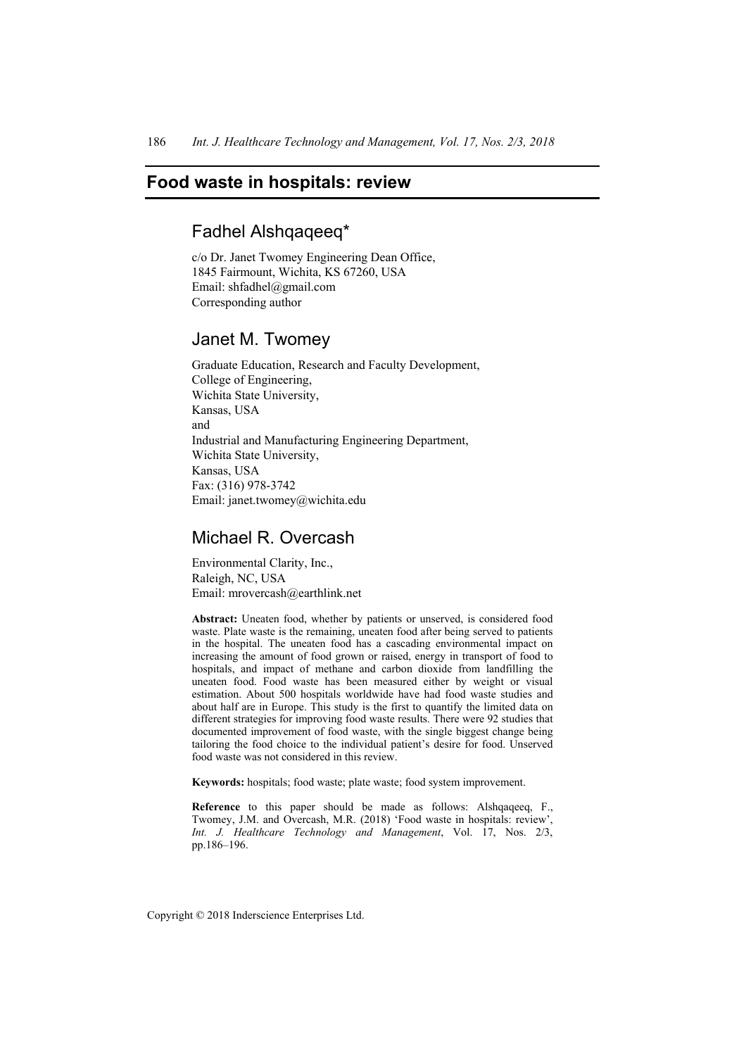# **Food waste in hospitals: review**

# Fadhel Alshqaqeeq\*

c/o Dr. Janet Twomey Engineering Dean Office, 1845 Fairmount, Wichita, KS 67260, USA Email: shfadhel@gmail.com Corresponding author

# Janet M. Twomey

Graduate Education, Research and Faculty Development, College of Engineering, Wichita State University, Kansas, USA and Industrial and Manufacturing Engineering Department, Wichita State University, Kansas, USA Fax: (316) 978-3742 Email: janet.twomey@wichita.edu

# Michael R. Overcash

Environmental Clarity, Inc., Raleigh, NC, USA Email: mrovercash@earthlink.net

**Abstract:** Uneaten food, whether by patients or unserved, is considered food waste. Plate waste is the remaining, uneaten food after being served to patients in the hospital. The uneaten food has a cascading environmental impact on increasing the amount of food grown or raised, energy in transport of food to hospitals, and impact of methane and carbon dioxide from landfilling the uneaten food. Food waste has been measured either by weight or visual estimation. About 500 hospitals worldwide have had food waste studies and about half are in Europe. This study is the first to quantify the limited data on different strategies for improving food waste results. There were 92 studies that documented improvement of food waste, with the single biggest change being tailoring the food choice to the individual patient's desire for food. Unserved food waste was not considered in this review.

**Keywords:** hospitals; food waste; plate waste; food system improvement.

**Reference** to this paper should be made as follows: Alshqaqeeq, F., Twomey, J.M. and Overcash, M.R. (2018) 'Food waste in hospitals: review', *Int. J. Healthcare Technology and Management*, Vol. 17, Nos. 2/3, pp.186–196.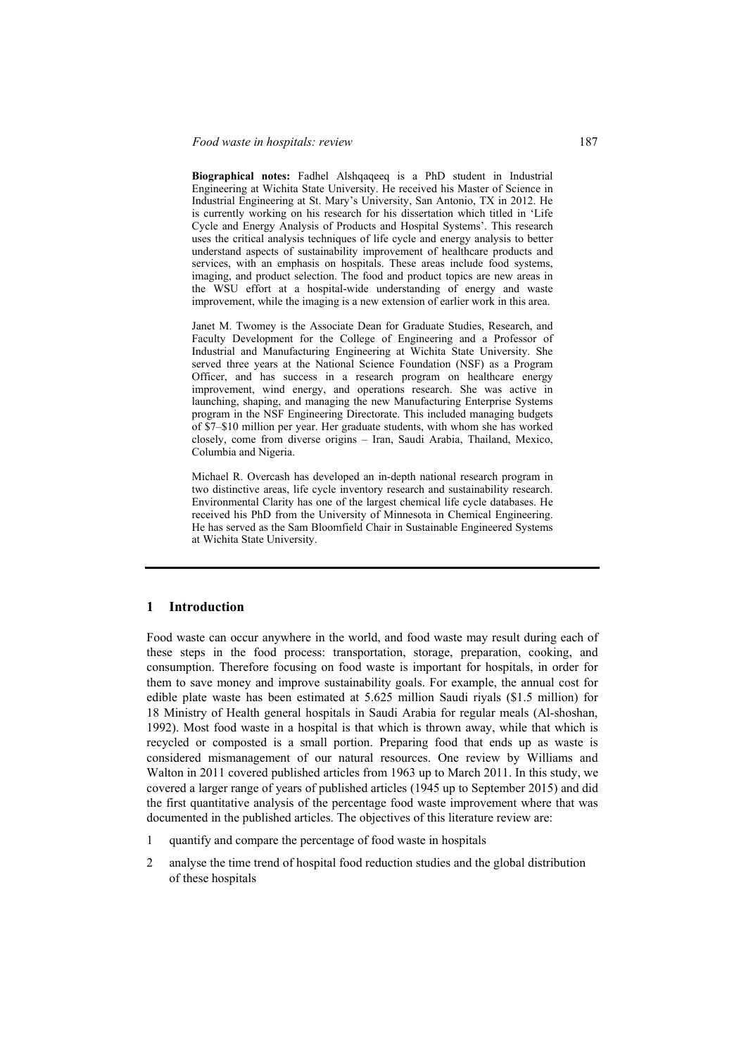#### *Food waste in hospitals: review* 187

**Biographical notes:** Fadhel Alshqaqeeq is a PhD student in Industrial Engineering at Wichita State University. He received his Master of Science in Industrial Engineering at St. Mary's University, San Antonio, TX in 2012. He is currently working on his research for his dissertation which titled in 'Life Cycle and Energy Analysis of Products and Hospital Systems'. This research uses the critical analysis techniques of life cycle and energy analysis to better understand aspects of sustainability improvement of healthcare products and services, with an emphasis on hospitals. These areas include food systems, imaging, and product selection. The food and product topics are new areas in the WSU effort at a hospital-wide understanding of energy and waste improvement, while the imaging is a new extension of earlier work in this area.

Janet M. Twomey is the Associate Dean for Graduate Studies, Research, and Faculty Development for the College of Engineering and a Professor of Industrial and Manufacturing Engineering at Wichita State University. She served three years at the National Science Foundation (NSF) as a Program Officer, and has success in a research program on healthcare energy improvement, wind energy, and operations research. She was active in launching, shaping, and managing the new Manufacturing Enterprise Systems program in the NSF Engineering Directorate. This included managing budgets of \$7–\$10 million per year. Her graduate students, with whom she has worked closely, come from diverse origins – Iran, Saudi Arabia, Thailand, Mexico, Columbia and Nigeria.

Michael R. Overcash has developed an in-depth national research program in two distinctive areas, life cycle inventory research and sustainability research. Environmental Clarity has one of the largest chemical life cycle databases. He received his PhD from the University of Minnesota in Chemical Engineering. He has served as the Sam Bloomfield Chair in Sustainable Engineered Systems at Wichita State University.

# **1 Introduction**

Food waste can occur anywhere in the world, and food waste may result during each of these steps in the food process: transportation, storage, preparation, cooking, and consumption. Therefore focusing on food waste is important for hospitals, in order for them to save money and improve sustainability goals. For example, the annual cost for edible plate waste has been estimated at 5.625 million Saudi riyals (\$1.5 million) for 18 Ministry of Health general hospitals in Saudi Arabia for regular meals (Al-shoshan, 1992). Most food waste in a hospital is that which is thrown away, while that which is recycled or composted is a small portion. Preparing food that ends up as waste is considered mismanagement of our natural resources. One review by Williams and Walton in 2011 covered published articles from 1963 up to March 2011. In this study, we covered a larger range of years of published articles (1945 up to September 2015) and did the first quantitative analysis of the percentage food waste improvement where that was documented in the published articles. The objectives of this literature review are:

- 1 quantify and compare the percentage of food waste in hospitals
- 2 analyse the time trend of hospital food reduction studies and the global distribution of these hospitals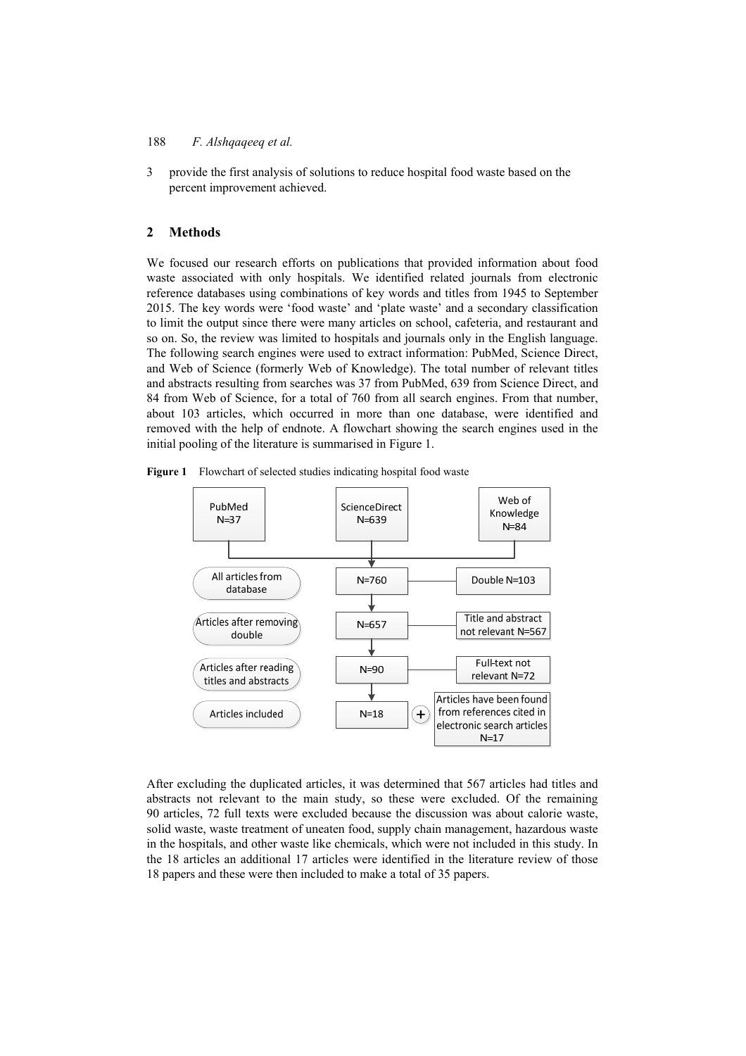3 provide the first analysis of solutions to reduce hospital food waste based on the percent improvement achieved.

#### **2 Methods**

We focused our research efforts on publications that provided information about food waste associated with only hospitals. We identified related journals from electronic reference databases using combinations of key words and titles from 1945 to September 2015. The key words were 'food waste' and 'plate waste' and a secondary classification to limit the output since there were many articles on school, cafeteria, and restaurant and so on. So, the review was limited to hospitals and journals only in the English language. The following search engines were used to extract information: PubMed, Science Direct, and Web of Science (formerly Web of Knowledge). The total number of relevant titles and abstracts resulting from searches was 37 from PubMed, 639 from Science Direct, and 84 from Web of Science, for a total of 760 from all search engines. From that number, about 103 articles, which occurred in more than one database, were identified and removed with the help of endnote. A flowchart showing the search engines used in the initial pooling of the literature is summarised in Figure 1.





After excluding the duplicated articles, it was determined that 567 articles had titles and abstracts not relevant to the main study, so these were excluded. Of the remaining 90 articles, 72 full texts were excluded because the discussion was about calorie waste, solid waste, waste treatment of uneaten food, supply chain management, hazardous waste in the hospitals, and other waste like chemicals, which were not included in this study. In the 18 articles an additional 17 articles were identified in the literature review of those 18 papers and these were then included to make a total of 35 papers.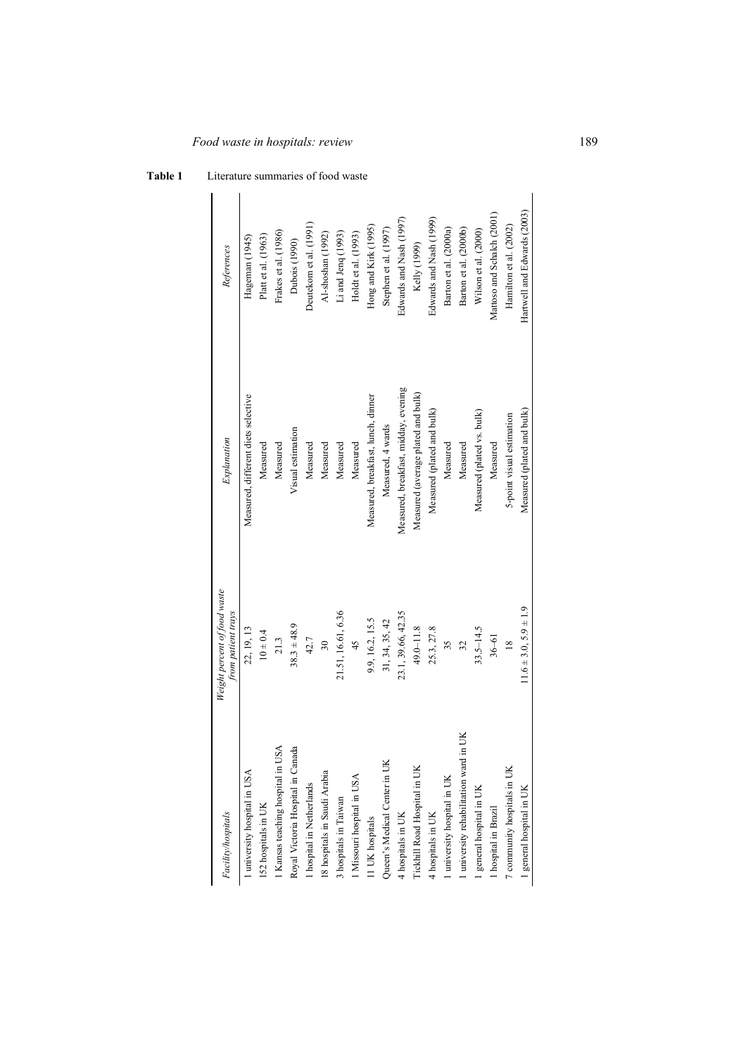# *Food waste in hospitals: review* 189

**Table 1** Literature summaries of food waste

| Facility/hospitals                     | Weight percent of food waste<br>from patient trays | Explanation                          | References                  |
|----------------------------------------|----------------------------------------------------|--------------------------------------|-----------------------------|
| 1 university hospital in USA           | 22, 19, 13                                         | Measured, different diets selective  | Hageman (1945)              |
| 152 hospitals in UK                    | $10 \pm 0.4$                                       | Measured                             | Platt et al. (1963)         |
| I Kansas teaching hospital in USA      | 21.3                                               | Measured                             | Frakes et al. (1986)        |
| Royal Victoria Hospital in Canada      | $38.3 \pm 48.9$                                    | Visual estimation                    | Dubois (1990)               |
| Iospital in Netherlands                | 42.7                                               | Measured                             | Deutekom et al. (1991)      |
| 18 hospitals in Saudi Arabia           | $\overline{30}$                                    | Measured                             | Al-shoshan (1992)           |
| 3 hospitals in Taiwan                  | 21.51, 16.61, 6.36                                 | Measured                             | Li and Jenq $(1993)$        |
| I Missouri hospital in USA             | 45                                                 | Measured                             | Holdt et al. (1993)         |
| 11 UK hospitals                        | 9.9, 16.2, 15.5                                    | Measured, breakfast, lunch, dinner   | Hong and Kirk (1995)        |
| Queen's Medical Center in UK           | 31, 34, 35, 42                                     | Measured, 4 wards                    | Stephen et al. (1997)       |
| 4 hospitals in UK                      | 23.1, 39.66, 42.35                                 | Measured, breakfast, midday, evening | Edwards and Nash (1997)     |
| Tickhill Road Hospital in UK           | 49.0-11.8                                          | Measured (average plated and bulk)   | Kelly (1999)                |
| 4 hospitals in UK                      | 25.3, 27.8                                         | Measured (plated and bulk)           | Edwards and Nash (1999)     |
| I university hospital in UK            | 35                                                 | Measured                             | Barton et al. (2000a)       |
| 1 university rehabilitation ward in UK | 32                                                 | Measured                             | Barton et al. (2000b)       |
| general hospital in UK                 | $33.5 - 14.5$                                      | Measured (plated vs. bulk)           | Wilson et al. (2000)        |
| 1 hospital in Brazil                   | $36 - 61$                                          | Measured                             | Mattoso and Schalch (2001)  |
| 7 community hospitals in UK            | $\frac{8}{2}$                                      | 5-point visual estimation            | Hamilton et al. (2002)      |
| 1 general hospital in UK               | $11.6 \pm 3.0, 5.9 \pm 1.9$                        | Measured (plated and bulk)           | Hartwell and Edwards (2003) |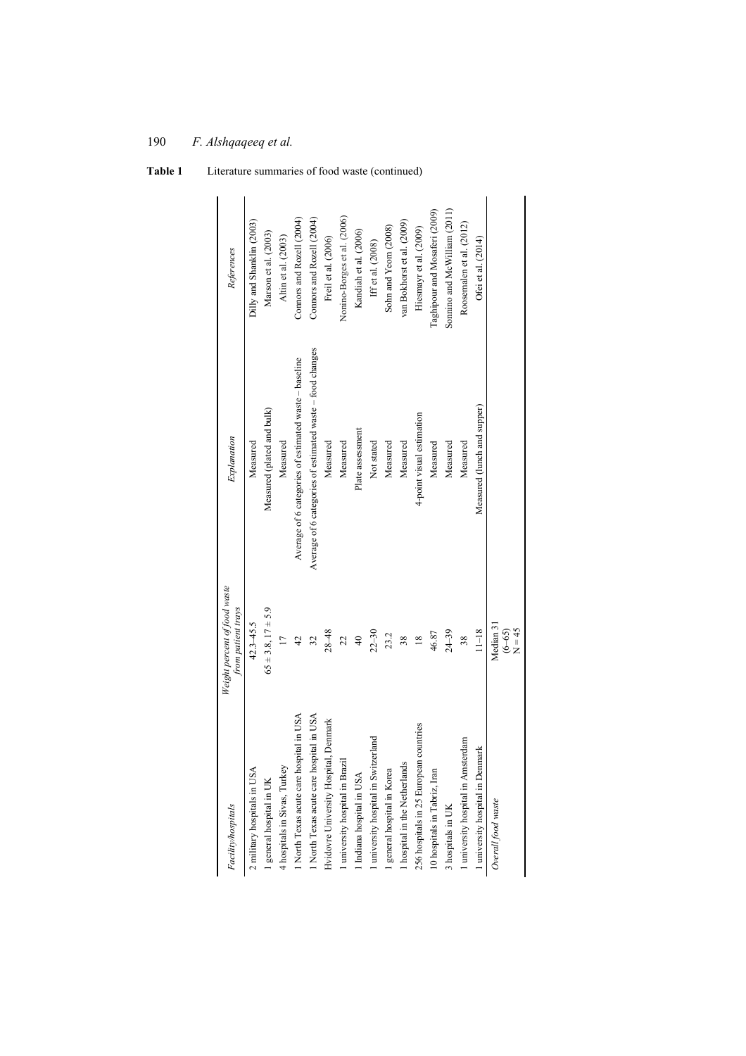| Facility/hospitals                       | Weight percent of food waste<br>from patient trays | Explanation                                               | References                    |
|------------------------------------------|----------------------------------------------------|-----------------------------------------------------------|-------------------------------|
| 2 military hospitals in USA              | $42.3 - 45.5$                                      | Measured                                                  | Dilly and Shanklin (2003)     |
| general hospital in UK                   | $65 \pm 3.8$ , $17 \pm 5.9$                        | Measured (plated and bulk)                                | Marson et al. (2003)          |
| hospitals in Sivas, Turkey               | $\overline{11}$                                    | Measured                                                  | Altin et al. (2003)           |
| North Texas acute care hospital in USA   | $\overline{4}$                                     | Average of 6 categories of estimated waste - baseline     | Connors and Rozell (2004)     |
| North Texas acute care hospital in USA   | 32                                                 | Average of 6 categories of estimated waste - food changes | Connors and Rozell (2004)     |
| Denmark<br>Ividovre University Hospital, | $28 - 48$                                          | Measured                                                  | Freil et al. (2006)           |
| university hospital in Brazil            | 22                                                 | Measured                                                  | Nonino-Borges et al. (2006)   |
| Indiana hospital in USA                  | $\frac{1}{4}$                                      | Plate assessment                                          | Kandiah et al. (2006)         |
| university hospital in Switzerland       | $22 - 30$                                          | Not stated                                                | Iff et al. (2008)             |
| general hospital in Korea                | 23.2                                               | Measured                                                  | Sohn and Yeom (2008)          |
| hospital in the Netherlands              | 38                                                 | Measured                                                  | van Bokhorst et al. (2009)    |
| 256 hospitals in 25 European countries   | $\frac{8}{10}$                                     | 4-point visual estimation                                 | Hiesmayr et al. (2009)        |
| 10 hospitals in Tabriz, Iran             | 46.87                                              | Measured                                                  | Taghipour and Mosaferi (2009) |
| hospitals in UK                          | $24 - 39$                                          | Measured                                                  | Sonnino and McWilliam (2011)  |
| university hospital in Amsterdam         | 38                                                 | Measured                                                  | Roosemalen et al. (2012)      |
| university hospital in Denmark           | $11 - 18$                                          | Measured (lunch and supper)                               | Ofei et al. (2014)            |
| Overall food waste                       | Median 31<br>$(6-65)$<br>N = 45                    |                                                           |                               |

**Table 1** Literature summaries of food waste (continued)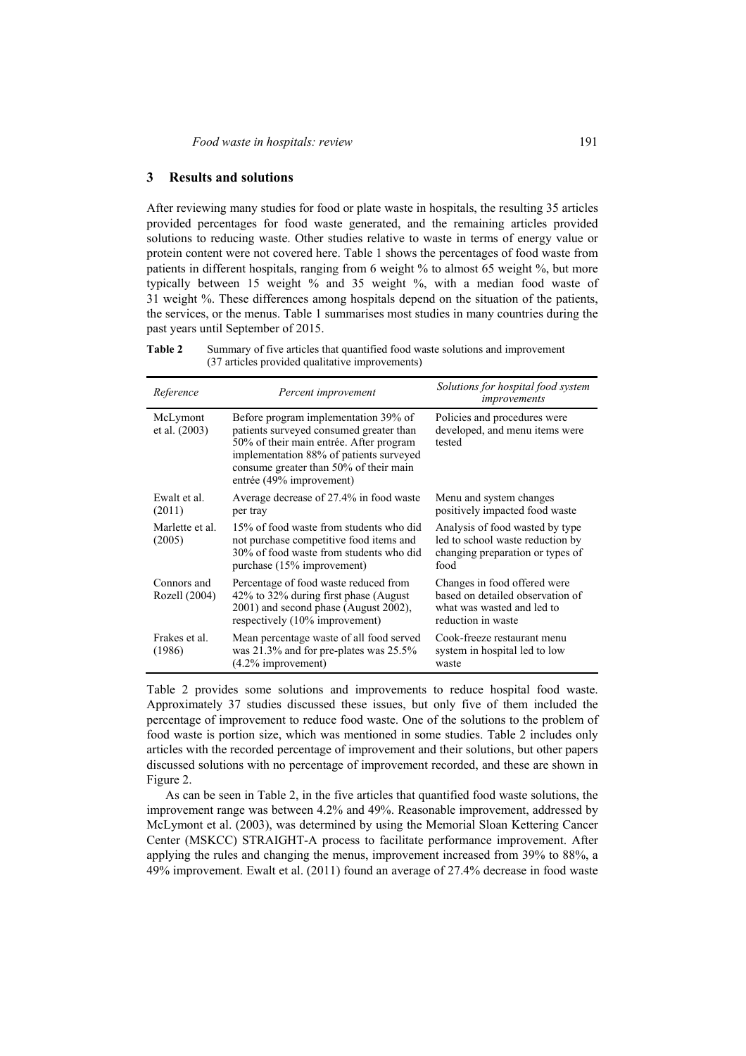## **3 Results and solutions**

After reviewing many studies for food or plate waste in hospitals, the resulting 35 articles provided percentages for food waste generated, and the remaining articles provided solutions to reducing waste. Other studies relative to waste in terms of energy value or protein content were not covered here. Table 1 shows the percentages of food waste from patients in different hospitals, ranging from 6 weight % to almost 65 weight %, but more typically between 15 weight % and 35 weight %, with a median food waste of 31 weight %. These differences among hospitals depend on the situation of the patients, the services, or the menus. Table 1 summarises most studies in many countries during the past years until September of 2015.

**Table 2** Summary of five articles that quantified food waste solutions and improvement (37 articles provided qualitative improvements)

| Reference                    | Percent improvement                                                                                                                                                                                                                         | Solutions for hospital food system<br>improvements                                                                   |
|------------------------------|---------------------------------------------------------------------------------------------------------------------------------------------------------------------------------------------------------------------------------------------|----------------------------------------------------------------------------------------------------------------------|
| McLymont<br>et al. (2003)    | Before program implementation 39% of<br>patients surveyed consumed greater than<br>50% of their main entrée. After program<br>implementation 88% of patients surveyed<br>consume greater than 50% of their main<br>entrée (49% improvement) | Policies and procedures were<br>developed, and menu items were<br>tested                                             |
| Ewalt et al.<br>(2011)       | Average decrease of 27.4% in food waste<br>per tray                                                                                                                                                                                         | Menu and system changes<br>positively impacted food waste                                                            |
| Marlette et al.<br>(2005)    | 15% of food waste from students who did<br>not purchase competitive food items and<br>30% of food waste from students who did<br>purchase (15% improvement)                                                                                 | Analysis of food wasted by type<br>led to school waste reduction by<br>changing preparation or types of<br>food      |
| Connors and<br>Rozell (2004) | Percentage of food waste reduced from<br>42% to 32% during first phase (August)<br>2001) and second phase (August 2002),<br>respectively (10% improvement)                                                                                  | Changes in food offered were<br>based on detailed observation of<br>what was wasted and led to<br>reduction in waste |
| Frakes et al.<br>(1986)      | Mean percentage waste of all food served<br>was 21.3% and for pre-plates was 25.5%<br>$(4.2\%$ improvement)                                                                                                                                 | Cook-freeze restaurant menu<br>system in hospital led to low<br>waste                                                |

Table 2 provides some solutions and improvements to reduce hospital food waste. Approximately 37 studies discussed these issues, but only five of them included the percentage of improvement to reduce food waste. One of the solutions to the problem of food waste is portion size, which was mentioned in some studies. Table 2 includes only articles with the recorded percentage of improvement and their solutions, but other papers discussed solutions with no percentage of improvement recorded, and these are shown in Figure 2.

As can be seen in Table 2, in the five articles that quantified food waste solutions, the improvement range was between 4.2% and 49%. Reasonable improvement, addressed by McLymont et al. (2003), was determined by using the Memorial Sloan Kettering Cancer Center (MSKCC) STRAIGHT-A process to facilitate performance improvement. After applying the rules and changing the menus, improvement increased from 39% to 88%, a 49% improvement. Ewalt et al. (2011) found an average of 27.4% decrease in food waste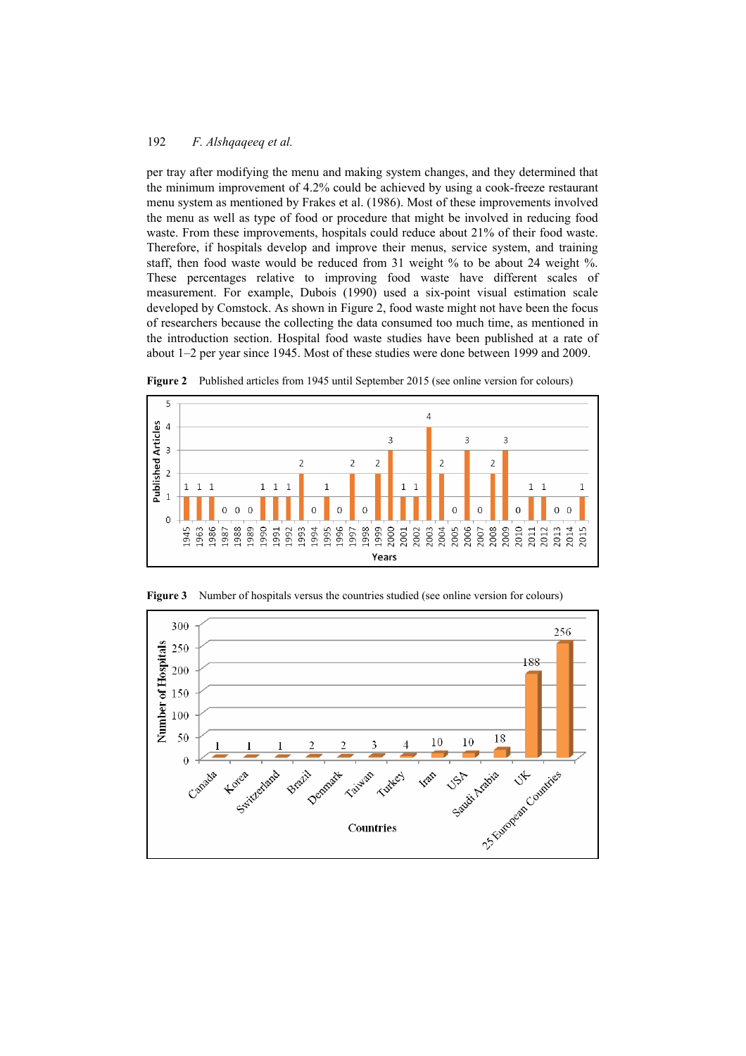per tray after modifying the menu and making system changes, and they determined that the minimum improvement of 4.2% could be achieved by using a cook-freeze restaurant menu system as mentioned by Frakes et al. (1986). Most of these improvements involved the menu as well as type of food or procedure that might be involved in reducing food waste. From these improvements, hospitals could reduce about 21% of their food waste. Therefore, if hospitals develop and improve their menus, service system, and training staff, then food waste would be reduced from 31 weight % to be about 24 weight %. These percentages relative to improving food waste have different scales of measurement. For example, Dubois (1990) used a six-point visual estimation scale developed by Comstock. As shown in Figure 2, food waste might not have been the focus of researchers because the collecting the data consumed too much time, as mentioned in the introduction section. Hospital food waste studies have been published at a rate of about 1–2 per year since 1945. Most of these studies were done between 1999 and 2009.



**Figure 2** Published articles from 1945 until September 2015 (see online version for colours)



Figure 3 Number of hospitals versus the countries studied (see online version for colours)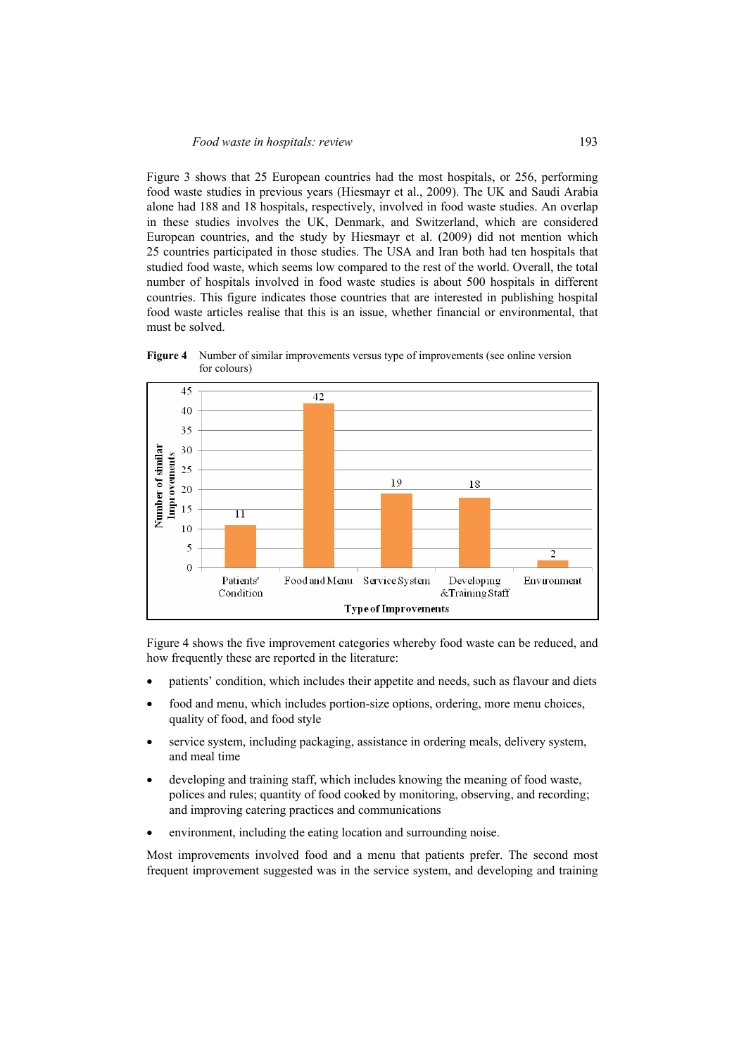Figure 3 shows that 25 European countries had the most hospitals, or 256, performing food waste studies in previous years (Hiesmayr et al., 2009). The UK and Saudi Arabia alone had 188 and 18 hospitals, respectively, involved in food waste studies. An overlap in these studies involves the UK, Denmark, and Switzerland, which are considered European countries, and the study by Hiesmayr et al. (2009) did not mention which 25 countries participated in those studies. The USA and Iran both had ten hospitals that studied food waste, which seems low compared to the rest of the world. Overall, the total number of hospitals involved in food waste studies is about 500 hospitals in different countries. This figure indicates those countries that are interested in publishing hospital food waste articles realise that this is an issue, whether financial or environmental, that must be solved.



**Figure 4** Number of similar improvements versus type of improvements (see online version for colours)

Figure 4 shows the five improvement categories whereby food waste can be reduced, and how frequently these are reported in the literature:

- patients' condition, which includes their appetite and needs, such as flavour and diets
- food and menu, which includes portion-size options, ordering, more menu choices, quality of food, and food style
- service system, including packaging, assistance in ordering meals, delivery system, and meal time
- developing and training staff, which includes knowing the meaning of food waste, polices and rules; quantity of food cooked by monitoring, observing, and recording; and improving catering practices and communications
- environment, including the eating location and surrounding noise.

Most improvements involved food and a menu that patients prefer. The second most frequent improvement suggested was in the service system, and developing and training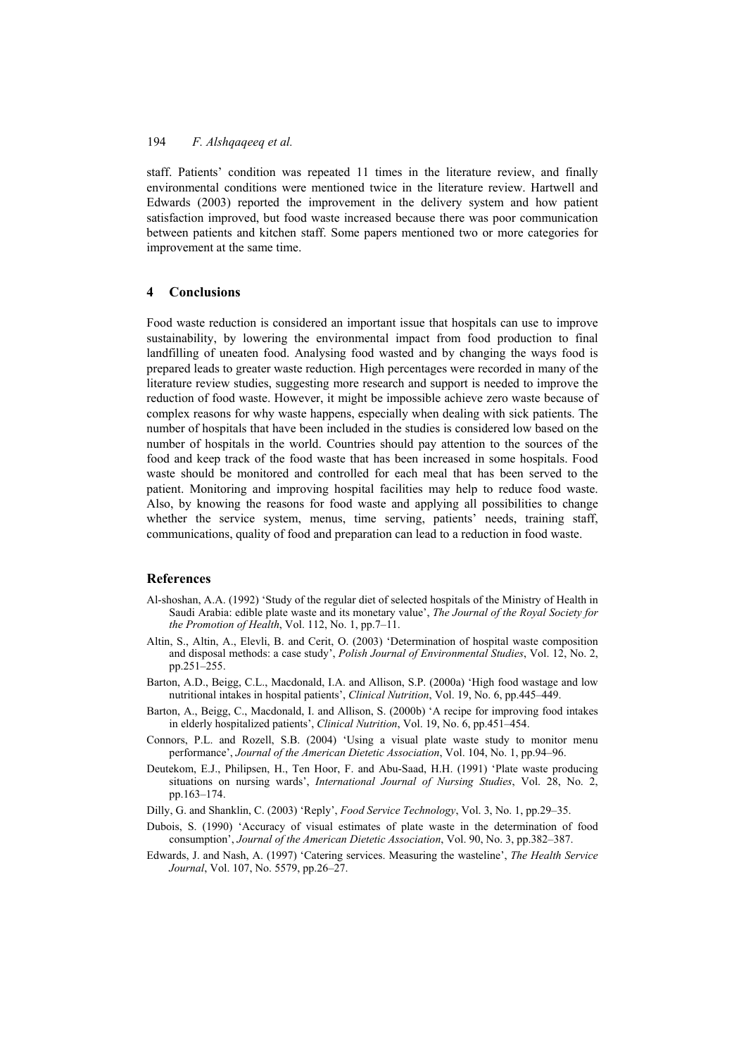staff. Patients' condition was repeated 11 times in the literature review, and finally environmental conditions were mentioned twice in the literature review. Hartwell and Edwards (2003) reported the improvement in the delivery system and how patient satisfaction improved, but food waste increased because there was poor communication between patients and kitchen staff. Some papers mentioned two or more categories for improvement at the same time.

#### **4 Conclusions**

Food waste reduction is considered an important issue that hospitals can use to improve sustainability, by lowering the environmental impact from food production to final landfilling of uneaten food. Analysing food wasted and by changing the ways food is prepared leads to greater waste reduction. High percentages were recorded in many of the literature review studies, suggesting more research and support is needed to improve the reduction of food waste. However, it might be impossible achieve zero waste because of complex reasons for why waste happens, especially when dealing with sick patients. The number of hospitals that have been included in the studies is considered low based on the number of hospitals in the world. Countries should pay attention to the sources of the food and keep track of the food waste that has been increased in some hospitals. Food waste should be monitored and controlled for each meal that has been served to the patient. Monitoring and improving hospital facilities may help to reduce food waste. Also, by knowing the reasons for food waste and applying all possibilities to change whether the service system, menus, time serving, patients' needs, training staff, communications, quality of food and preparation can lead to a reduction in food waste.

## **References**

- Al-shoshan, A.A. (1992) 'Study of the regular diet of selected hospitals of the Ministry of Health in Saudi Arabia: edible plate waste and its monetary value', *The Journal of the Royal Society for the Promotion of Health*, Vol. 112, No. 1, pp.7–11.
- Altin, S., Altin, A., Elevli, B. and Cerit, O. (2003) 'Determination of hospital waste composition and disposal methods: a case study', *Polish Journal of Environmental Studies*, Vol. 12, No. 2, pp.251–255.
- Barton, A.D., Beigg, C.L., Macdonald, I.A. and Allison, S.P. (2000a) 'High food wastage and low nutritional intakes in hospital patients', *Clinical Nutrition*, Vol. 19, No. 6, pp.445–449.
- Barton, A., Beigg, C., Macdonald, I. and Allison, S. (2000b) 'A recipe for improving food intakes in elderly hospitalized patients', *Clinical Nutrition*, Vol. 19, No. 6, pp.451–454.
- Connors, P.L. and Rozell, S.B. (2004) 'Using a visual plate waste study to monitor menu performance', *Journal of the American Dietetic Association*, Vol. 104, No. 1, pp.94–96.
- Deutekom, E.J., Philipsen, H., Ten Hoor, F. and Abu-Saad, H.H. (1991) 'Plate waste producing situations on nursing wards', *International Journal of Nursing Studies*, Vol. 28, No. 2, pp.163–174.
- Dilly, G. and Shanklin, C. (2003) 'Reply', *Food Service Technology*, Vol. 3, No. 1, pp.29–35.
- Dubois, S. (1990) 'Accuracy of visual estimates of plate waste in the determination of food consumption', *Journal of the American Dietetic Association*, Vol. 90, No. 3, pp.382–387.
- Edwards, J. and Nash, A. (1997) 'Catering services. Measuring the wasteline', *The Health Service Journal*, Vol. 107, No. 5579, pp.26–27.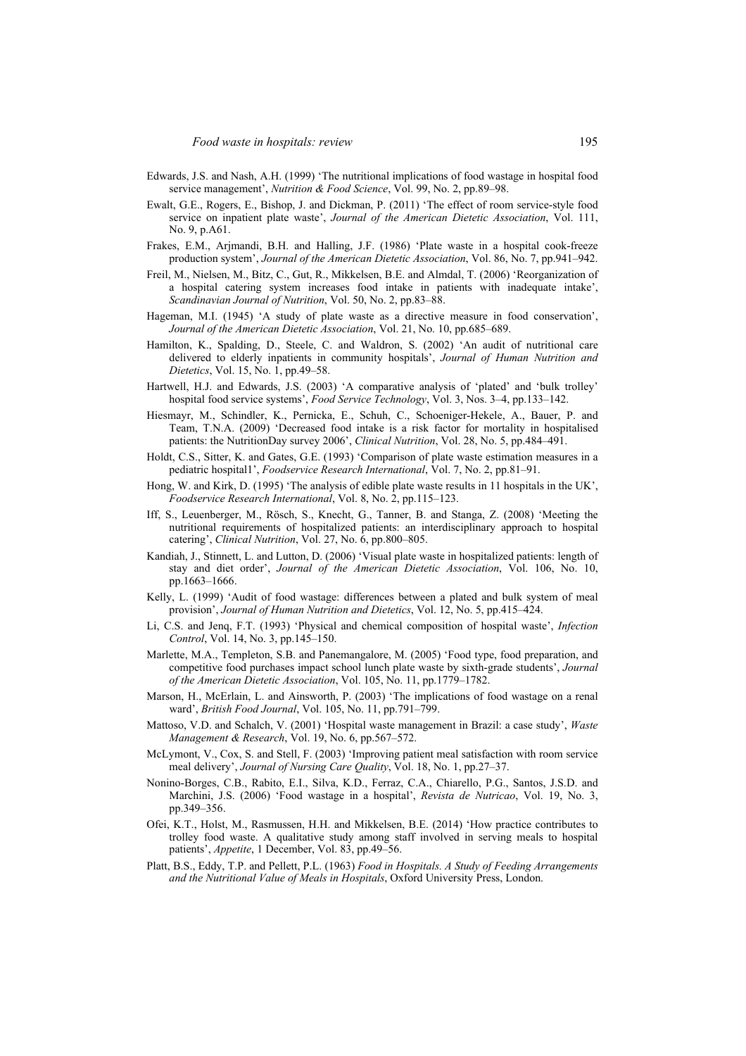- Edwards, J.S. and Nash, A.H. (1999) 'The nutritional implications of food wastage in hospital food service management', *Nutrition & Food Science*, Vol. 99, No. 2, pp.89–98.
- Ewalt, G.E., Rogers, E., Bishop, J. and Dickman, P. (2011) 'The effect of room service-style food service on inpatient plate waste', *Journal of the American Dietetic Association*, Vol. 111, No. 9, p.A61.
- Frakes, E.M., Arjmandi, B.H. and Halling, J.F. (1986) 'Plate waste in a hospital cook-freeze production system', *Journal of the American Dietetic Association*, Vol. 86, No. 7, pp.941–942.
- Freil, M., Nielsen, M., Bitz, C., Gut, R., Mikkelsen, B.E. and Almdal, T. (2006) 'Reorganization of a hospital catering system increases food intake in patients with inadequate intake', *Scandinavian Journal of Nutrition*, Vol. 50, No. 2, pp.83–88.
- Hageman, M.I. (1945) 'A study of plate waste as a directive measure in food conservation', *Journal of the American Dietetic Association*, Vol. 21, No. 10, pp.685–689.
- Hamilton, K., Spalding, D., Steele, C. and Waldron, S. (2002) 'An audit of nutritional care delivered to elderly inpatients in community hospitals', *Journal of Human Nutrition and Dietetics*, Vol. 15, No. 1, pp.49–58.
- Hartwell, H.J. and Edwards, J.S. (2003) 'A comparative analysis of 'plated' and 'bulk trolley' hospital food service systems', *Food Service Technology*, Vol. 3, Nos. 3–4, pp.133–142.
- Hiesmayr, M., Schindler, K., Pernicka, E., Schuh, C., Schoeniger-Hekele, A., Bauer, P. and Team, T.N.A. (2009) 'Decreased food intake is a risk factor for mortality in hospitalised patients: the NutritionDay survey 2006', *Clinical Nutrition*, Vol. 28, No. 5, pp.484–491.
- Holdt, C.S., Sitter, K. and Gates, G.E. (1993) 'Comparison of plate waste estimation measures in a pediatric hospital1', *Foodservice Research International*, Vol. 7, No. 2, pp.81–91.
- Hong, W. and Kirk, D. (1995) 'The analysis of edible plate waste results in 11 hospitals in the UK', *Foodservice Research International*, Vol. 8, No. 2, pp.115–123.
- Iff, S., Leuenberger, M., Rösch, S., Knecht, G., Tanner, B. and Stanga, Z. (2008) 'Meeting the nutritional requirements of hospitalized patients: an interdisciplinary approach to hospital catering', *Clinical Nutrition*, Vol. 27, No. 6, pp.800–805.
- Kandiah, J., Stinnett, L. and Lutton, D. (2006) 'Visual plate waste in hospitalized patients: length of stay and diet order', *Journal of the American Dietetic Association*, Vol. 106, No. 10, pp.1663–1666.
- Kelly, L. (1999) 'Audit of food wastage: differences between a plated and bulk system of meal provision', *Journal of Human Nutrition and Dietetics*, Vol. 12, No. 5, pp.415–424.
- Li, C.S. and Jenq, F.T. (1993) 'Physical and chemical composition of hospital waste', *Infection Control*, Vol. 14, No. 3, pp.145–150.
- Marlette, M.A., Templeton, S.B. and Panemangalore, M. (2005) 'Food type, food preparation, and competitive food purchases impact school lunch plate waste by sixth-grade students', *Journal of the American Dietetic Association*, Vol. 105, No. 11, pp.1779–1782.
- Marson, H., McErlain, L. and Ainsworth, P. (2003) 'The implications of food wastage on a renal ward', *British Food Journal*, Vol. 105, No. 11, pp.791–799.
- Mattoso, V.D. and Schalch, V. (2001) 'Hospital waste management in Brazil: a case study', *Waste Management & Research*, Vol. 19, No. 6, pp.567–572.
- McLymont, V., Cox, S. and Stell, F. (2003) 'Improving patient meal satisfaction with room service meal delivery', *Journal of Nursing Care Quality*, Vol. 18, No. 1, pp.27–37.
- Nonino-Borges, C.B., Rabito, E.I., Silva, K.D., Ferraz, C.A., Chiarello, P.G., Santos, J.S.D. and Marchini, J.S. (2006) 'Food wastage in a hospital', *Revista de Nutricao*, Vol. 19, No. 3, pp.349–356.
- Ofei, K.T., Holst, M., Rasmussen, H.H. and Mikkelsen, B.E. (2014) 'How practice contributes to trolley food waste. A qualitative study among staff involved in serving meals to hospital patients', *Appetite*, 1 December, Vol. 83, pp.49–56.
- Platt, B.S., Eddy, T.P. and Pellett, P.L. (1963) *Food in Hospitals. A Study of Feeding Arrangements and the Nutritional Value of Meals in Hospitals*, Oxford University Press, London.